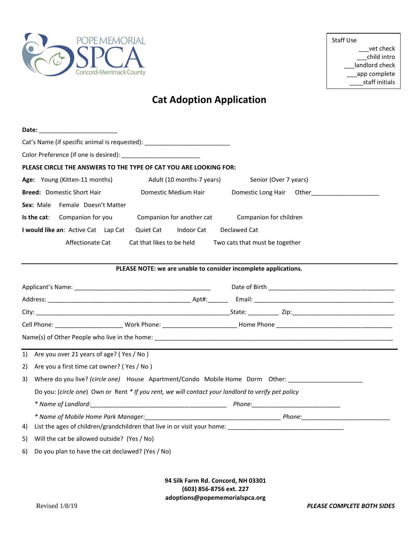

Staff Use \_\_\_vet check \_\_\_child intro \_\_\_landlord check \_\_\_app complete \_\_\_\_staff initials

## **Cat Adoption Application**

| Date: _______________________                                                                              |                                                                                                 |  |  |  |  |  |  |
|------------------------------------------------------------------------------------------------------------|-------------------------------------------------------------------------------------------------|--|--|--|--|--|--|
| Cat's Name (if specific animal is requested): __________________________________                           |                                                                                                 |  |  |  |  |  |  |
|                                                                                                            |                                                                                                 |  |  |  |  |  |  |
| PLEASE CIRCLE THE ANSWERS TO THE TYPE OF CAT YOU ARE LOOKING FOR:                                          |                                                                                                 |  |  |  |  |  |  |
| Age: Young (Kitten-11 months)<br>Adult (10 months-7 years)                                                 | Senior (Over 7 years)                                                                           |  |  |  |  |  |  |
| <b>Breed:</b> Domestic Short Hair<br>Domestic Medium Hair                                                  | Domestic Long Hair Other Character Communications                                               |  |  |  |  |  |  |
| Sex: Male Female Doesn't Matter                                                                            |                                                                                                 |  |  |  |  |  |  |
| Is the cat: Companion for you<br>Companion for another cat                                                 | Companion for children                                                                          |  |  |  |  |  |  |
| I would like an: Active Cat Lap Cat<br>Quiet Cat Indoor Cat                                                | Declawed Cat                                                                                    |  |  |  |  |  |  |
| Affectionate Cat<br>Cat that likes to be held<br>Two cats that must be together                            |                                                                                                 |  |  |  |  |  |  |
|                                                                                                            |                                                                                                 |  |  |  |  |  |  |
| PLEASE NOTE: we are unable to consider incomplete applications.                                            |                                                                                                 |  |  |  |  |  |  |
|                                                                                                            |                                                                                                 |  |  |  |  |  |  |
|                                                                                                            |                                                                                                 |  |  |  |  |  |  |
|                                                                                                            |                                                                                                 |  |  |  |  |  |  |
|                                                                                                            |                                                                                                 |  |  |  |  |  |  |
|                                                                                                            |                                                                                                 |  |  |  |  |  |  |
| 1) Are you over 21 years of age? (Yes / No)                                                                |                                                                                                 |  |  |  |  |  |  |
| Are you a first time cat owner? (Yes / No)<br>2)                                                           |                                                                                                 |  |  |  |  |  |  |
| Where do you live? (circle one) House Apartment/Condo Mobile Home Dorm Other: ______________________<br>3) |                                                                                                 |  |  |  |  |  |  |
| Do you: (circle one) Own or Rent * If you rent, we will contact your landlord to verify pet policy         |                                                                                                 |  |  |  |  |  |  |
|                                                                                                            |                                                                                                 |  |  |  |  |  |  |
|                                                                                                            |                                                                                                 |  |  |  |  |  |  |
| List the ages of children/grandchildren that live in or visit your home:<br>4)                             |                                                                                                 |  |  |  |  |  |  |
| Will the cat be allowed outside? (Yes / No)<br>5)                                                          |                                                                                                 |  |  |  |  |  |  |
| Do you plan to have the cat declawed? (Yes / No)<br>6)                                                     |                                                                                                 |  |  |  |  |  |  |
|                                                                                                            |                                                                                                 |  |  |  |  |  |  |
|                                                                                                            | 94 Silk Farm Rd. Concord, NH 03301<br>(603) 856-8756 ext. 227<br>adoptions@popememorialspca.org |  |  |  |  |  |  |